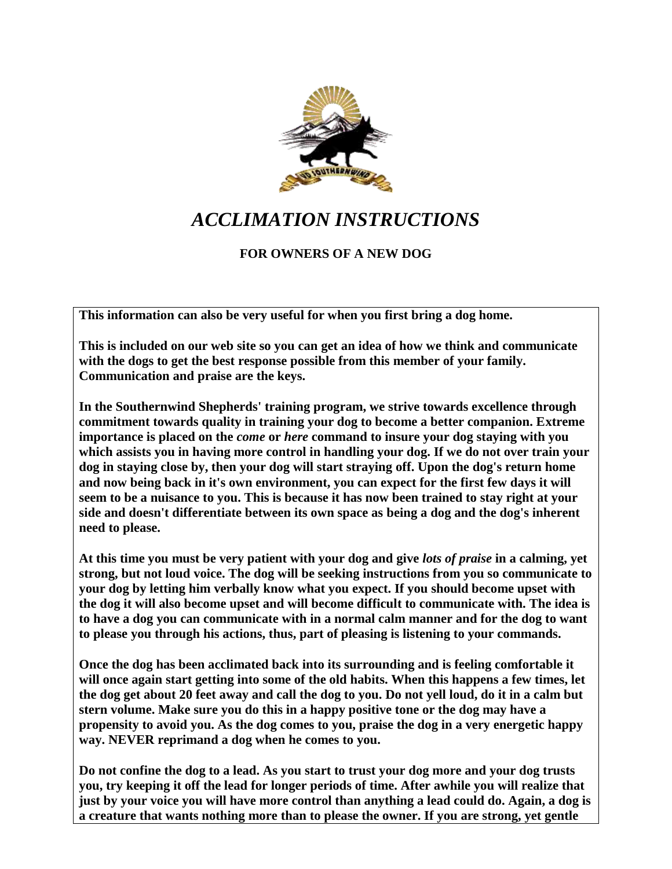

## *ACCLIMATION INSTRUCTIONS*

## **FOR OWNERS OF A NEW DOG**

**This information can also be very useful for when you first bring a dog home.**

**This is included on our web site so you can get an idea of how we think and communicate with the dogs to get the best response possible from this member of your family. Communication and praise are the keys.**

**In the Southernwind Shepherds' training program, we strive towards excellence through commitment towards quality in training your dog to become a better companion. Extreme importance is placed on the** *come* **or** *here* **command to insure your dog staying with you which assists you in having more control in handling your dog. If we do not over train your dog in staying close by, then your dog will start straying off. Upon the dog's return home and now being back in it's own environment, you can expect for the first few days it will seem to be a nuisance to you. This is because it has now been trained to stay right at your side and doesn't differentiate between its own space as being a dog and the dog's inherent need to please.** 

**At this time you must be very patient with your dog and give** *lots of praise* **in a calming, yet strong, but not loud voice. The dog will be seeking instructions from you so communicate to your dog by letting him verbally know what you expect. If you should become upset with the dog it will also become upset and will become difficult to communicate with. The idea is to have a dog you can communicate with in a normal calm manner and for the dog to want to please you through his actions, thus, part of pleasing is listening to your commands.**

**Once the dog has been acclimated back into its surrounding and is feeling comfortable it will once again start getting into some of the old habits. When this happens a few times, let the dog get about 20 feet away and call the dog to you. Do not yell loud, do it in a calm but stern volume. Make sure you do this in a happy positive tone or the dog may have a propensity to avoid you. As the dog comes to you, praise the dog in a very energetic happy way. NEVER reprimand a dog when he comes to you.**

**Do not confine the dog to a lead. As you start to trust your dog more and your dog trusts you, try keeping it off the lead for longer periods of time. After awhile you will realize that just by your voice you will have more control than anything a lead could do. Again, a dog is a creature that wants nothing more than to please the owner. If you are strong, yet gentle**